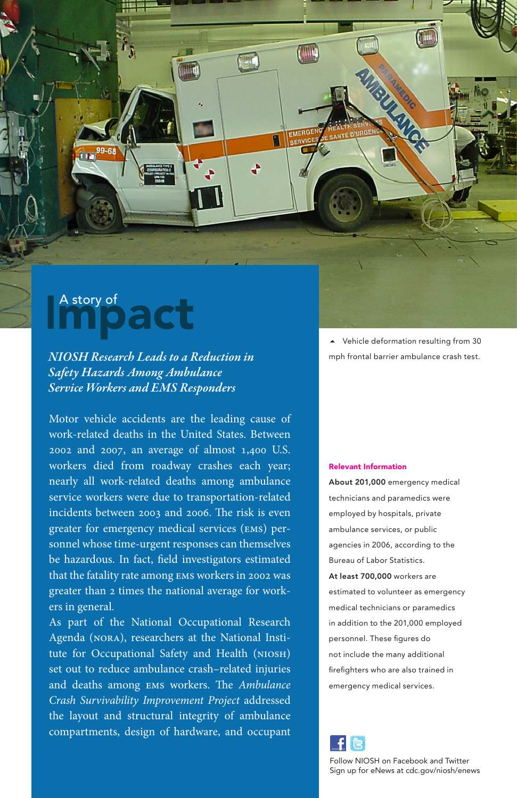## pact A story of

*NIOSH Research Leads to a Reduction in Safety Hazards Among Ambulance Service Workers and EMS Responders*

Motor vehicle accidents are the leading cause of work-related deaths in the United States. Between 2002 and 2007, an average of almost 1,400 U.S. workers died from roadway crashes each year; nearly all work-related deaths among ambulance service workers were due to transportation-related incidents between 2003 and 2006. The risk is even greater for emergency medical services (ems) personnel whose time-urgent responses can themselves be hazardous. In fact, field investigators estimated that the fatality rate among ems workers in 2002 was greater than 2 times the national average for workers in general.

As part of the National Occupational Research Agenda (nora), researchers at the National Institute for Occupational Safety and Health (niosh) set out to reduce ambulance crash–related injuries and deaths among ems workers. The *Ambulance Crash Survivability Improvement Project* addressed the layout and structural integrity of ambulance compartments, design of hardware, and occupant

 Vehicle deformation resulting from 30 mph frontal barrier ambulance crash test.

**Allisland** 

## Relevant Information

TILLE

FMER eFRVIC

**EK** 

About 201,000 emergency medical technicians and paramedics were employed by hospitals, private ambulance services, or public agencies in 2006, according to the Bureau of Labor Statistics. At least 700,000 workers are estimated to volunteer as emergency medical technicians or paramedics in addition to the 201,000 employed personnel. These figures do not include the many additional firefighters who are also trained in emergency medical services.



Follow NIOSH on Facebook and Twitter Sign up for eNews at cdc.gov/niosh/enews